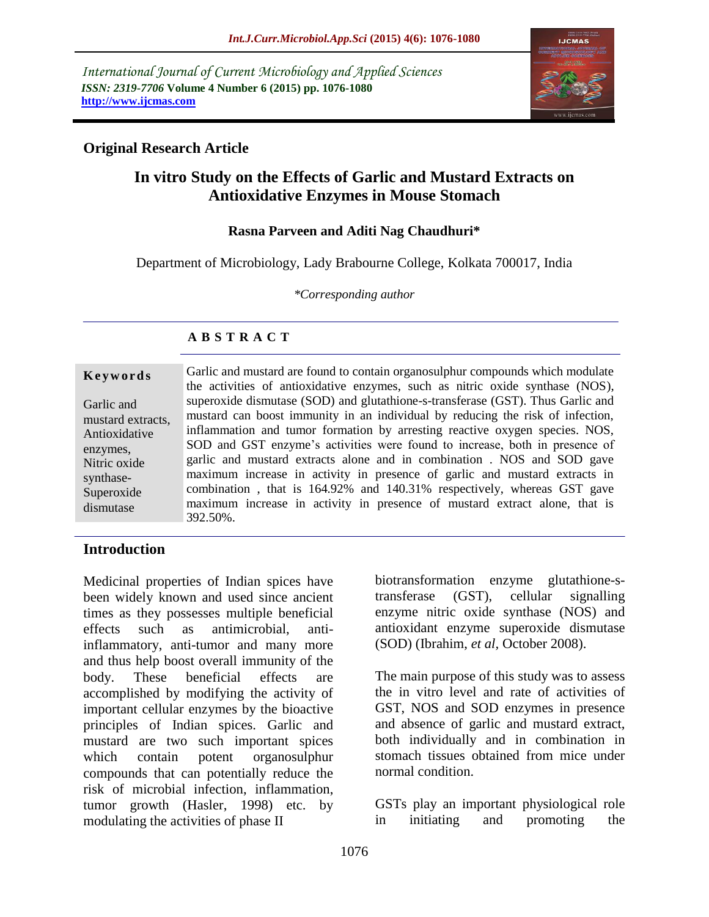*International Journal of Current Microbiology and Applied Sciences ISSN: 2319-7706* **Volume 4 Number 6 (2015) pp. 1076-1080 http://www.ijcmas.com**



# **Original Research Article**

# **In vitro Study on the Effects of Garlic and Mustard Extracts on Antioxidative Enzymes in Mouse Stomach**

### **Rasna Parveen and Aditi Nag Chaudhuri\***

Department of Microbiology, Lady Brabourne College, Kolkata 700017, India

*\*Corresponding author*

# **A B S T R A C T**

#### **K e y w o r d s**

Garlic and mustard extracts, Antioxidative enzymes, Nitric oxide synthase-Superoxide dismutase

Garlic and mustard are found to contain organosulphur compounds which modulate the activities of antioxidative enzymes, such as nitric oxide synthase (NOS), superoxide dismutase (SOD) and glutathione-s-transferase (GST). Thus Garlic and mustard can boost immunity in an individual by reducing the risk of infection, inflammation and tumor formation by arresting reactive oxygen species. NOS, SOD and GST enzyme's activities were found to increase, both in presence of garlic and mustard extracts alone and in combination . NOS and SOD gave maximum increase in activity in presence of garlic and mustard extracts in combination , that is 164.92% and 140.31% respectively, whereas GST gave maximum increase in activity in presence of mustard extract alone, that is 392.50%.

## **Introduction**

Medicinal properties of Indian spices have been widely known and used since ancient times as they possesses multiple beneficial effects such as antimicrobial, antiinflammatory, anti-tumor and many more and thus help boost overall immunity of the body. These beneficial effects are accomplished by modifying the activity of important cellular enzymes by the bioactive principles of Indian spices. Garlic and mustard are two such important spices which contain potent organosulphur compounds that can potentially reduce the risk of microbial infection, inflammation, tumor growth (Hasler, 1998) etc. by modulating the activities of phase II

biotransformation enzyme glutathione-stransferase (GST), cellular signalling enzyme nitric oxide synthase (NOS) and antioxidant enzyme superoxide dismutase (SOD) (Ibrahim, *et al,* October 2008).

The main purpose of this study was to assess the in vitro level and rate of activities of GST, NOS and SOD enzymes in presence and absence of garlic and mustard extract, both individually and in combination in stomach tissues obtained from mice under normal condition.

GSTs play an important physiological role in initiating and promoting the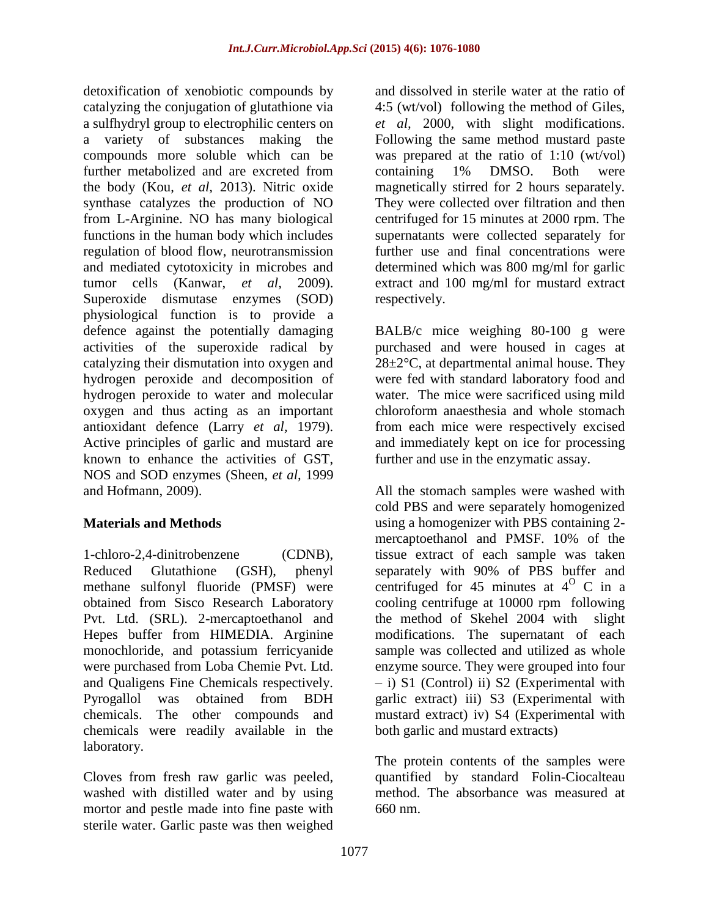detoxification of xenobiotic compounds by catalyzing the conjugation of glutathione via a sulfhydryl group to electrophilic centers on a variety of substances making the compounds more soluble which can be further metabolized and are excreted from the body (Kou, *et al,* 2013). Nitric oxide synthase catalyzes the production of NO from L-Arginine. NO has many biological functions in the human body which includes regulation of blood flow, neurotransmission and mediated cytotoxicity in microbes and tumor cells (Kanwar, *et al,* 2009). Superoxide dismutase enzymes (SOD) physiological function is to provide a defence against the potentially damaging activities of the superoxide radical by catalyzing their dismutation into oxygen and hydrogen peroxide and decomposition of hydrogen peroxide to water and molecular oxygen and thus acting as an important antioxidant defence (Larry *et al,* 1979). Active principles of garlic and mustard are known to enhance the activities of GST, NOS and SOD enzymes (Sheen, *et al,* 1999 and Hofmann, 2009).

## **Materials and Methods**

1-chloro-2,4-dinitrobenzene (CDNB), Reduced Glutathione (GSH), phenyl methane sulfonyl fluoride (PMSF) were obtained from Sisco Research Laboratory Pvt. Ltd. (SRL). 2-mercaptoethanol and Hepes buffer from HIMEDIA. Arginine monochloride, and potassium ferricyanide were purchased from Loba Chemie Pvt. Ltd. and Qualigens Fine Chemicals respectively. Pyrogallol was obtained from BDH chemicals. The other compounds and chemicals were readily available in the laboratory.

Cloves from fresh raw garlic was peeled, washed with distilled water and by using mortor and pestle made into fine paste with sterile water. Garlic paste was then weighed and dissolved in sterile water at the ratio of 4:5 (wt/vol) following the method of Giles, *et al,* 2000, with slight modifications. Following the same method mustard paste was prepared at the ratio of 1:10 (wt/vol) containing 1% DMSO. Both were magnetically stirred for 2 hours separately. They were collected over filtration and then centrifuged for 15 minutes at 2000 rpm. The supernatants were collected separately for further use and final concentrations were determined which was 800 mg/ml for garlic extract and 100 mg/ml for mustard extract respectively.

BALB/c mice weighing 80-100 g were purchased and were housed in cages at  $28\pm2\degree$ C, at departmental animal house. They were fed with standard laboratory food and water. The mice were sacrificed using mild chloroform anaesthesia and whole stomach from each mice were respectively excised and immediately kept on ice for processing further and use in the enzymatic assay.

All the stomach samples were washed with cold PBS and were separately homogenized using a homogenizer with PBS containing 2 mercaptoethanol and PMSF. 10% of the tissue extract of each sample was taken separately with 90% of PBS buffer and centrifuged for 45 minutes at  $4^{\circ}$  C in a cooling centrifuge at 10000 rpm following the method of Skehel 2004 with slight modifications. The supernatant of each sample was collected and utilized as whole enzyme source. They were grouped into four – i) S1 (Control) ii) S2 (Experimental with garlic extract) iii) S3 (Experimental with mustard extract) iv) S4 (Experimental with both garlic and mustard extracts)

The protein contents of the samples were quantified by standard Folin-Ciocalteau method. The absorbance was measured at 660 nm.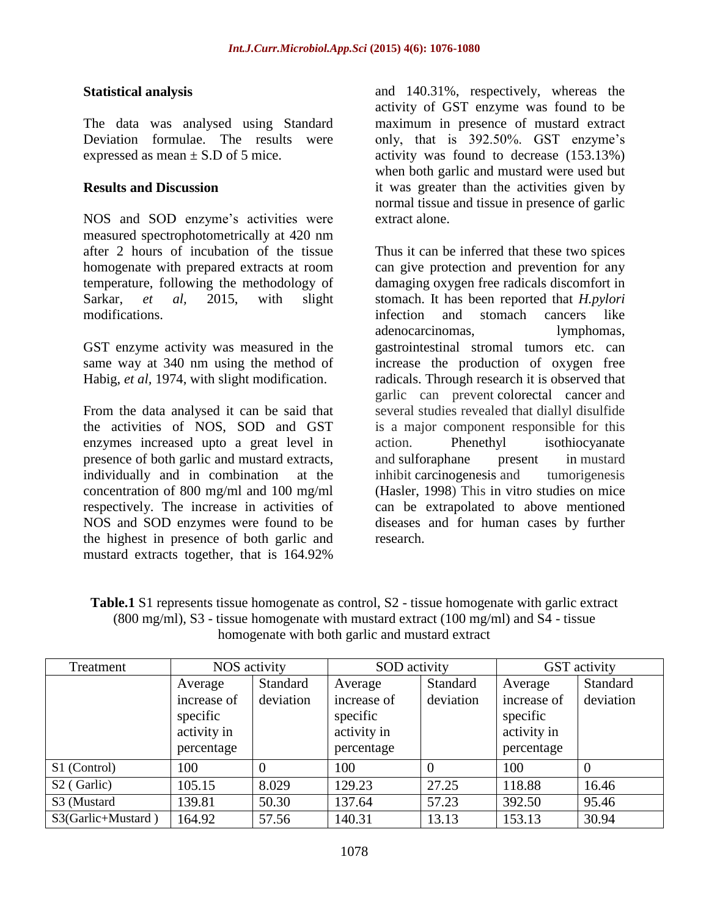### **Statistical analysis**

The data was analysed using Standard Deviation formulae. The results were expressed as mean  $\pm$  S.D of 5 mice.

### **Results and Discussion**

NOS and SOD enzyme's activities were measured spectrophotometrically at 420 nm after 2 hours of incubation of the tissue homogenate with prepared extracts at room temperature, following the methodology of Sarkar, *et al,* 2015, with slight modifications.

GST enzyme activity was measured in the same way at 340 nm using the method of Habig, *et al,* 1974, with slight modification.

From the data analysed it can be said that the activities of NOS, SOD and GST enzymes increased upto a great level in presence of both garlic and mustard extracts, individually and in combination at the concentration of 800 mg/ml and 100 mg/ml respectively. The increase in activities of NOS and SOD enzymes were found to be the highest in presence of both garlic and mustard extracts together, that is 164.92%

and 140.31%, respectively, whereas the activity of GST enzyme was found to be maximum in presence of mustard extract only, that is 392.50%. GST enzyme's activity was found to decrease (153.13%) when both garlic and mustard were used but it was greater than the activities given by normal tissue and tissue in presence of garlic extract alone.

Thus it can be inferred that these two spices can give protection and prevention for any damaging oxygen free radicals discomfort in stomach. It has been reported that *H.pylori*  infection and stomach cancers like adenocarcinomas, lymphomas, gastrointestinal stromal tumors etc. can increase the production of oxygen free radicals. Through research it is observed that garlic can prevent colorectal cancer and several studies revealed that diallyl disulfide is a major component responsible for this action. Phenethyl isothiocyanate and sulforaphane present in mustard inhibit carcinogenesis and tumorigenesis (Hasler, 1998) This in vitro studies on mice can be extrapolated to above mentioned diseases and for human cases by further research.

**Table.1** S1 represents tissue homogenate as control, S2 - tissue homogenate with garlic extract (800 mg/ml), S3 - tissue homogenate with mustard extract (100 mg/ml) and S4 - tissue homogenate with both garlic and mustard extract

| Treatment               | NOS activity                                                    |                       | SOD activity                                                    |                       | GST activity                                                    |                       |
|-------------------------|-----------------------------------------------------------------|-----------------------|-----------------------------------------------------------------|-----------------------|-----------------------------------------------------------------|-----------------------|
|                         | Average<br>increase of<br>specific<br>activity in<br>percentage | Standard<br>deviation | Average<br>increase of<br>specific<br>activity in<br>percentage | Standard<br>deviation | Average<br>increase of<br>specific<br>activity in<br>percentage | Standard<br>deviation |
| S1 (Control)            | 100                                                             |                       | 100                                                             |                       | 100                                                             |                       |
| S <sub>2</sub> (Garlic) | 105.15                                                          | 8.029                 | 129.23                                                          | 27.25                 | 118.88                                                          | 16.46                 |
| S3 (Mustard             | 139.81                                                          | 50.30                 | 137.64                                                          | 57.23                 | 392.50                                                          | 95.46                 |
| S3(Garlic+Mustard)      | 164.92                                                          | 57.56                 | 140.31                                                          | 13.13                 | 153.13                                                          | 30.94                 |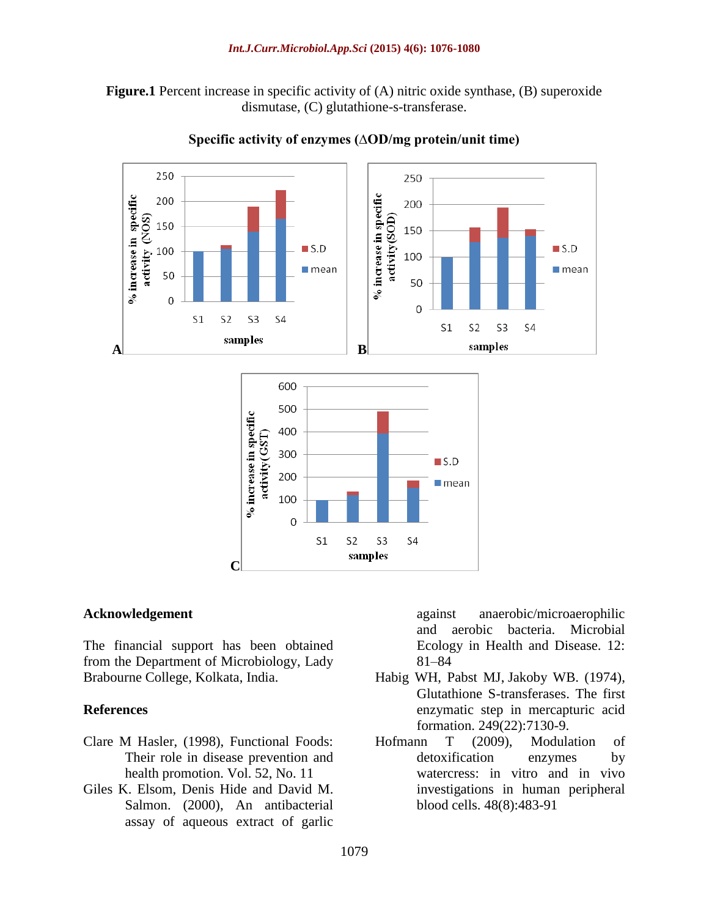**Figure.1** Percent increase in specific activity of (A) nitric oxide synthase, (B) superoxide dismutase, (C) glutathione-s-transferase.



#### **Specific activity of enzymes (∆OD/mg protein/unit time)**

#### **Acknowledgement**

The financial support has been obtained from the Department of Microbiology, Lady Brabourne College, Kolkata, India.

#### **References**

- Clare M Hasler, (1998), Functional Foods: Their role in disease prevention and health promotion. Vol. 52, No. 11
- Giles K. Elsom, Denis Hide and David M. Salmon. (2000), An antibacterial assay of aqueous extract of garlic

against anaerobic/microaerophilic and aerobic bacteria. Microbial Ecology in Health and Disease. 12: 81–84

- Habig WH, Pabst MJ, Jakoby WB. (1974), Glutathione S-transferases. The first enzymatic step in mercapturic acid formation. 249(22):7130-9.
- Hofmann T (2009), Modulation of detoxification enzymes by watercress: in vitro and in vivo investigations in human peripheral blood cells. 48(8):483-91